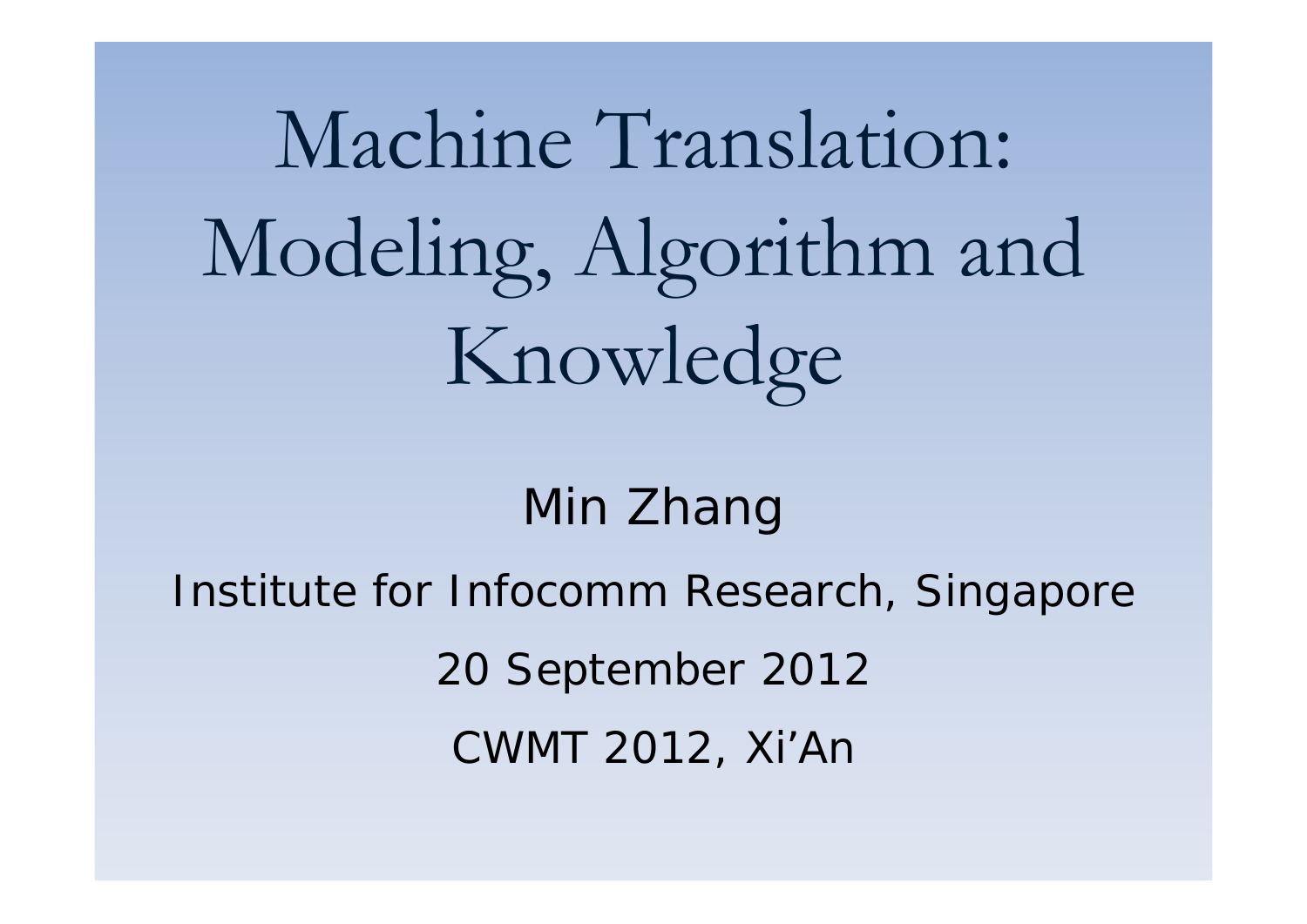# Machine Translation: Modeling, Algorithm and Knowledge

#### Min Zhang

Institute for Infocomm Research, Singapore

20 September 2012

CWMT 2012, Xi'An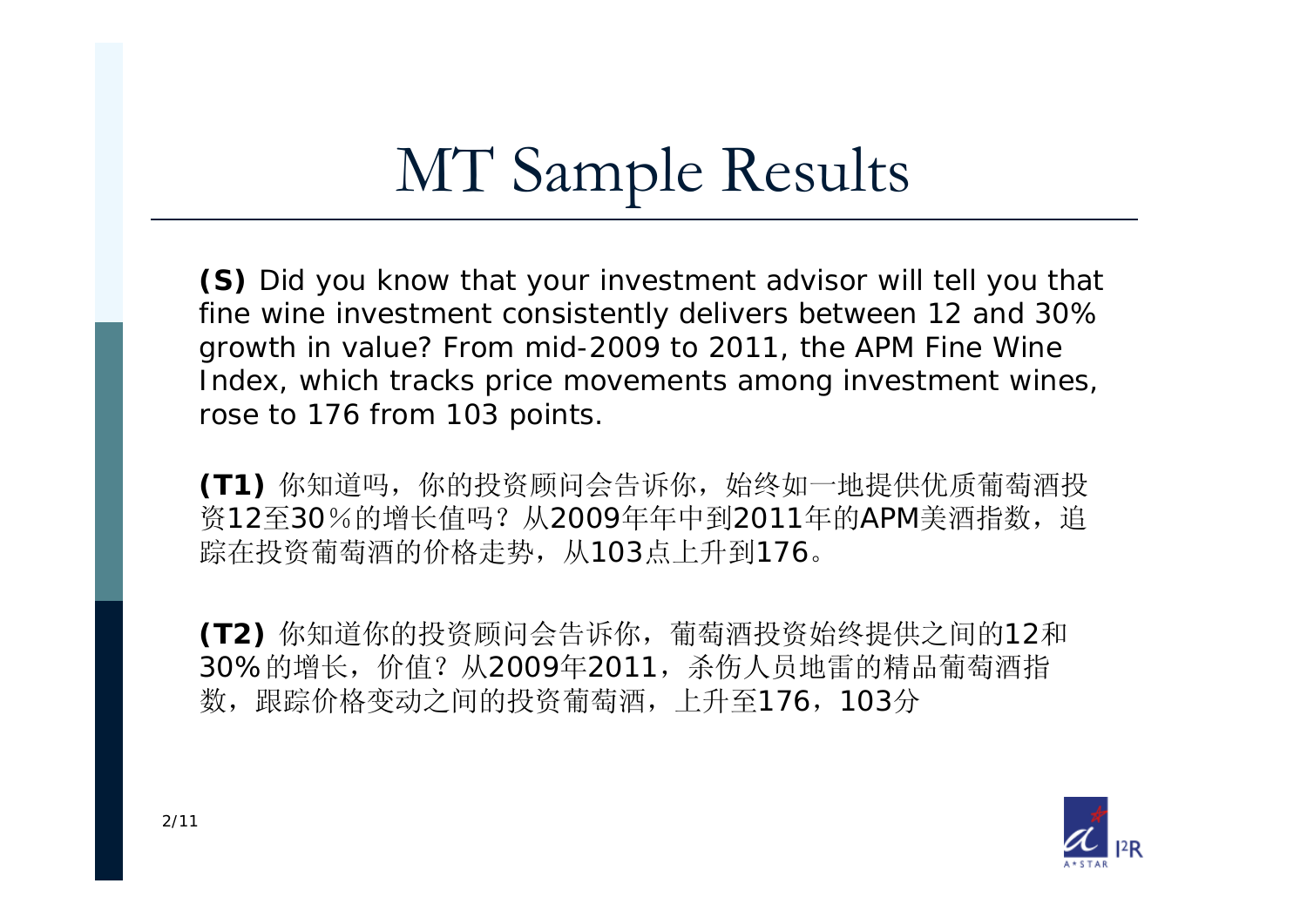# MT Sample Results

**(S)** Did you know that your investment advisor will tell you that fine wine investment consistently delivers between 12 and 30% growth in value? From mid-2009 to 2011, the APM Fine Wine Index, which tracks price movements among investment wines, rose to 176 from 103 points.

**(T1)** 你知道吗,你的投资顾问会告诉你,始终如一地提供优质葡萄酒投 资12至30%的增长值吗?从2009年年中到2011年的APM美酒指数,追 踪在投资葡萄酒的价格走势,从103点上升到176。

**(T2)** 你知道你的投资顾问会告诉你,葡萄酒投资始终提供之间的<sup>12</sup> 和 30%的增长,价值?从2009年2011,杀伤人员地雷的精品葡萄酒指 数,跟踪价格变动之间的投资葡萄酒,上升至176,103分

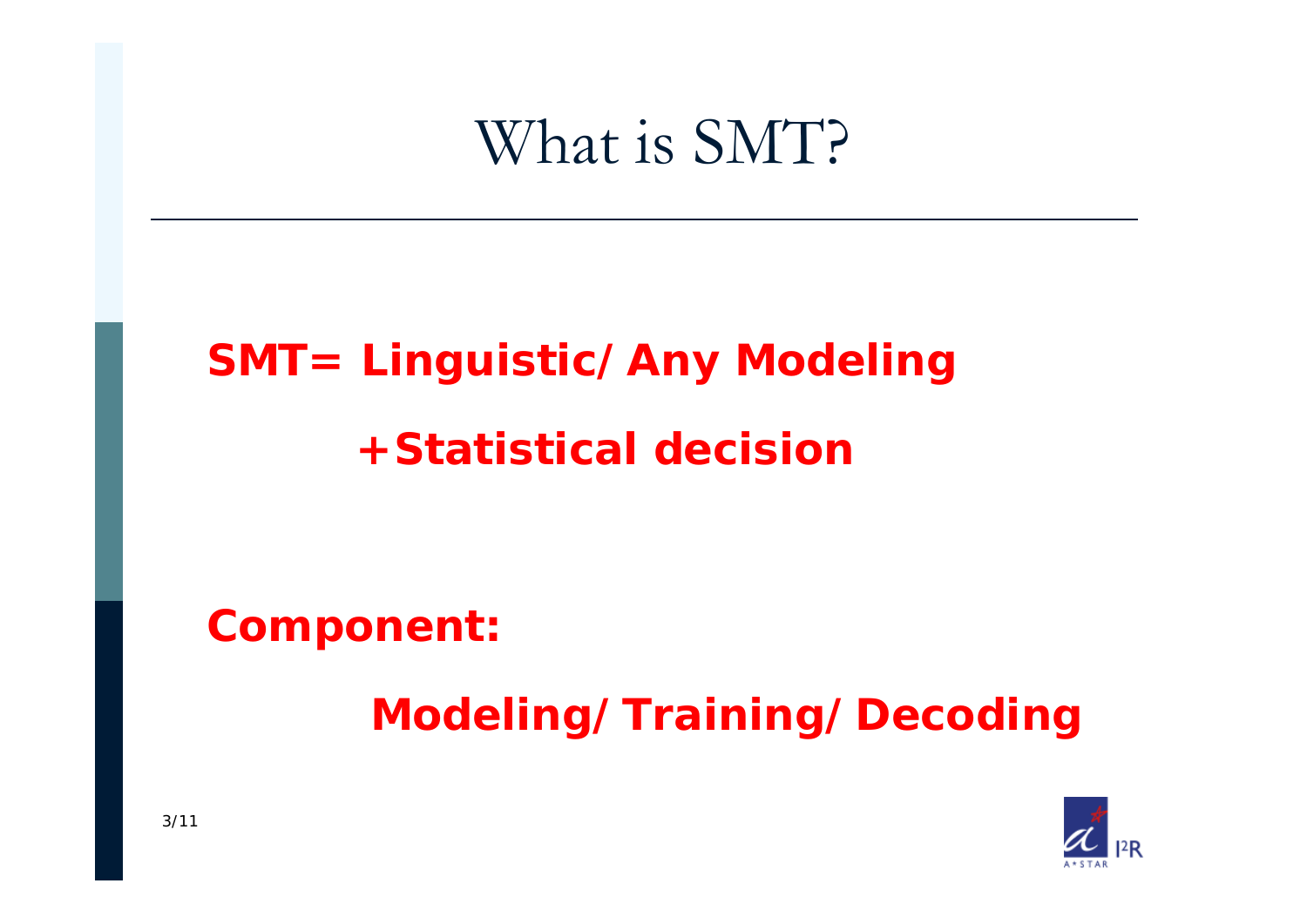### What is SMT?

### **SMT= Linguistic/Any Modeling +Statistical decision**

**Component:** 

**Modeling/Training/Decoding** 

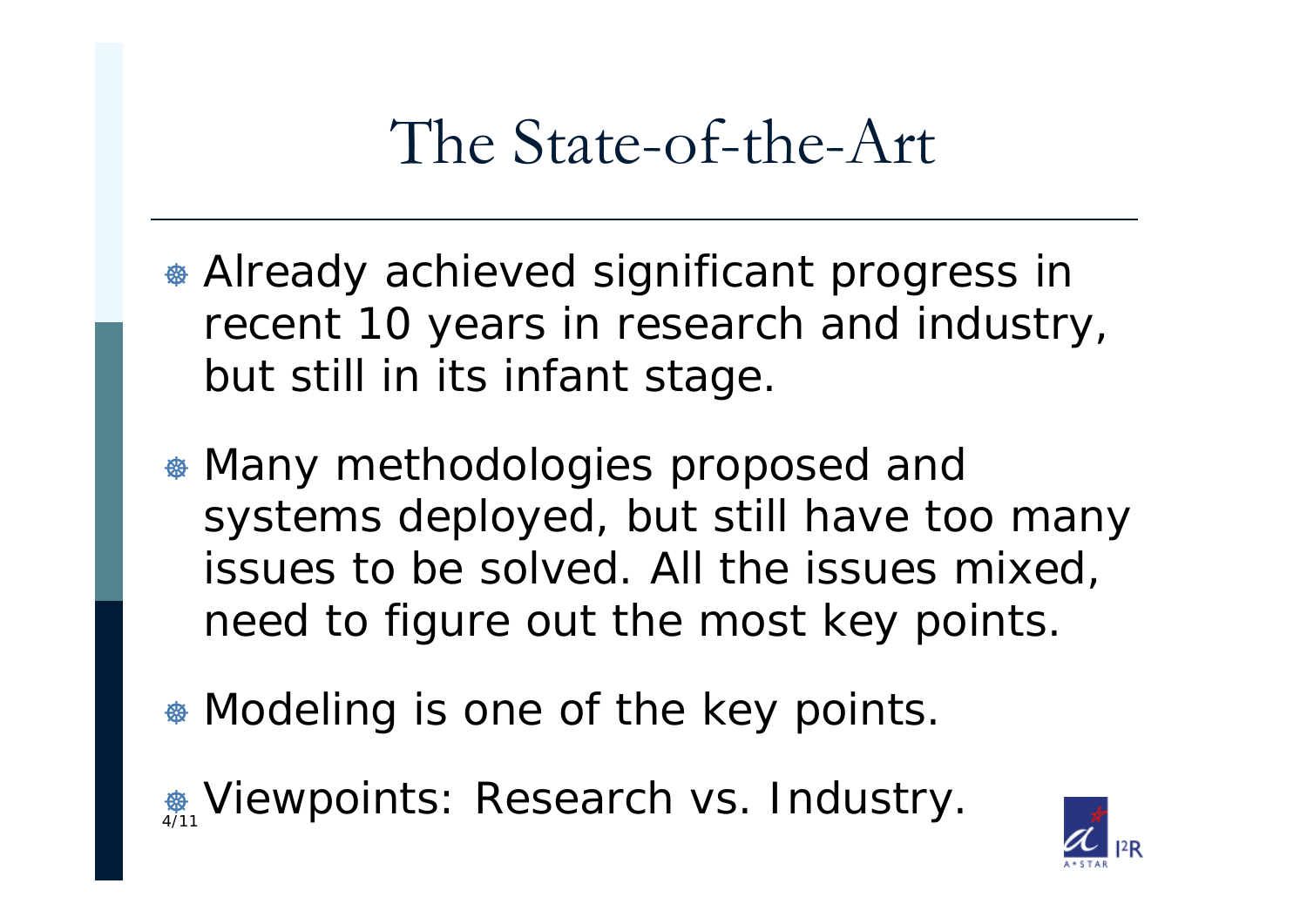## The State-of-the-Art

- <sup>\*</sup> Already achieved significant progress in recent 10 years in research and industry, but still in its infant stage.
- $*$  Many methodologies proposed and systems deployed, but still have too many issues to be solved. All the issues mixed, need to figure out the most key points.
- $\bullet$  **Modeling is one of the key points.**

 $\frac{1}{4/11}$  Viewpoints: Research vs. Industry.

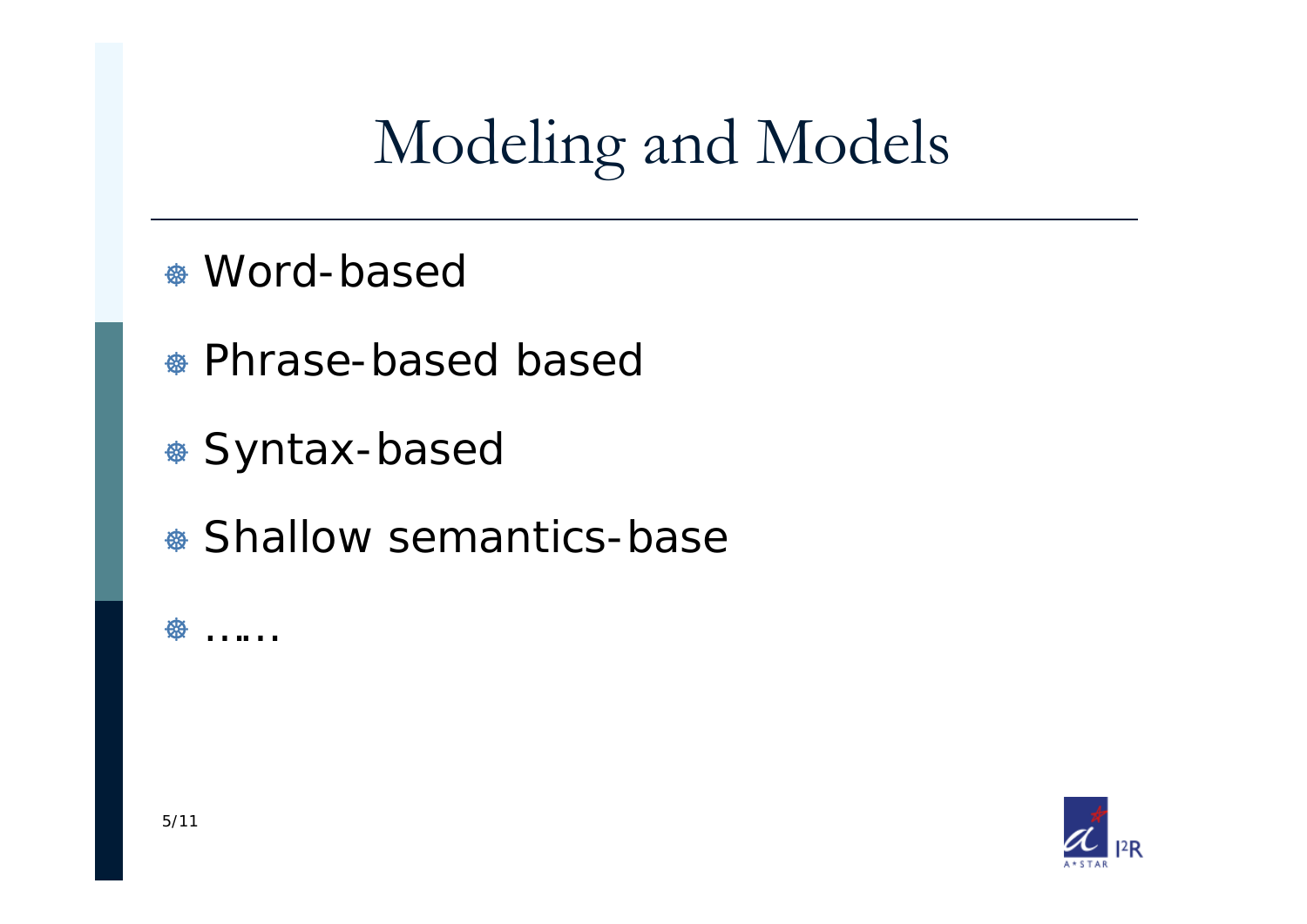# Modeling and Models

- \* Word-based
- \* Phrase-based based
- \* Syntax-based
- Shallow semantics-base

**金** ……

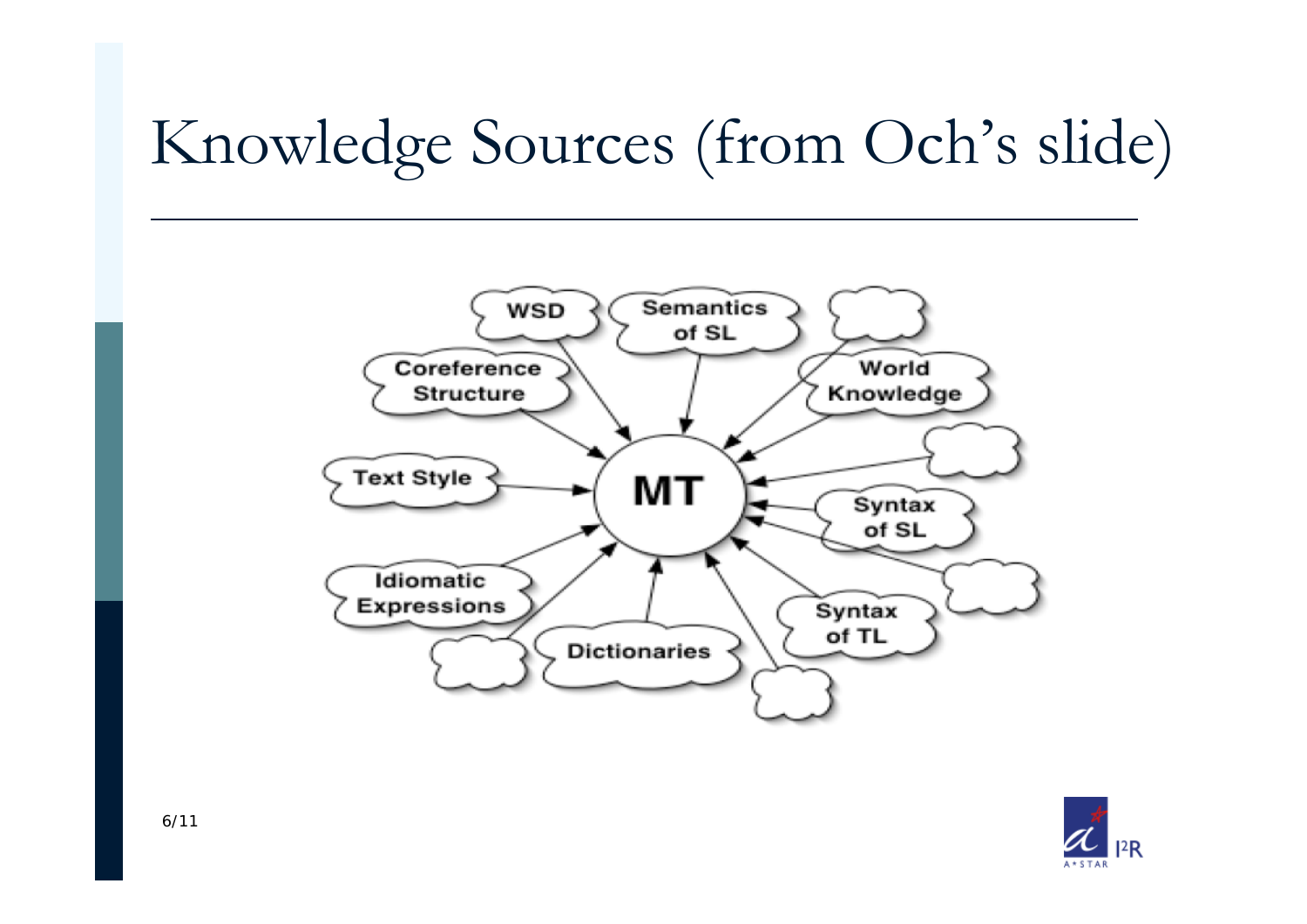# Knowledge Sources (from Och's slide)



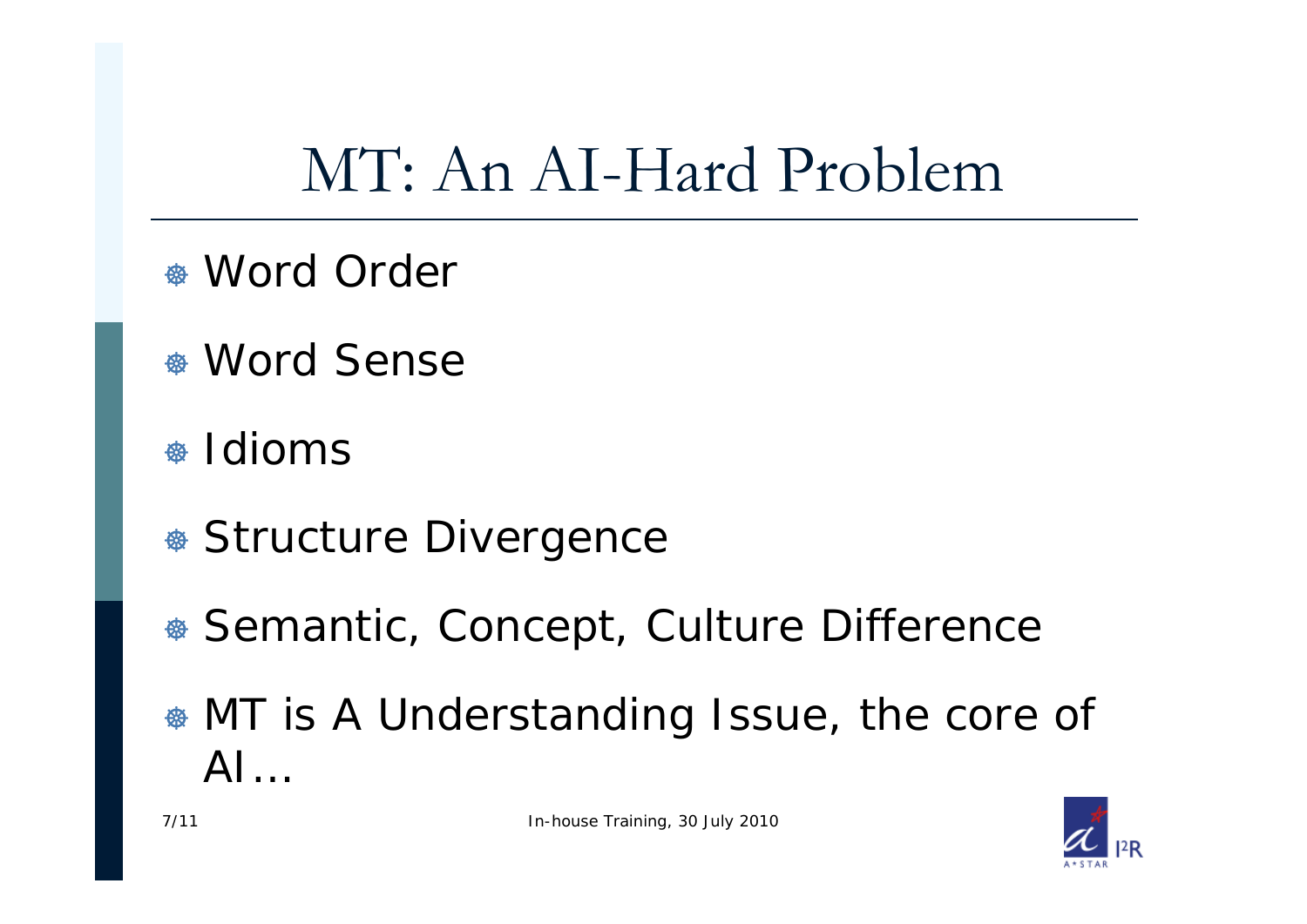# MT: An AI-Hard Problem

- \* Word Order
- \* Word Sense
- \* Idioms
- \* Structure Divergence
- \* Semantic, Concept, Culture Difference
- <sup>®</sup> MT is A Understanding Issue, the core of  $AI...$

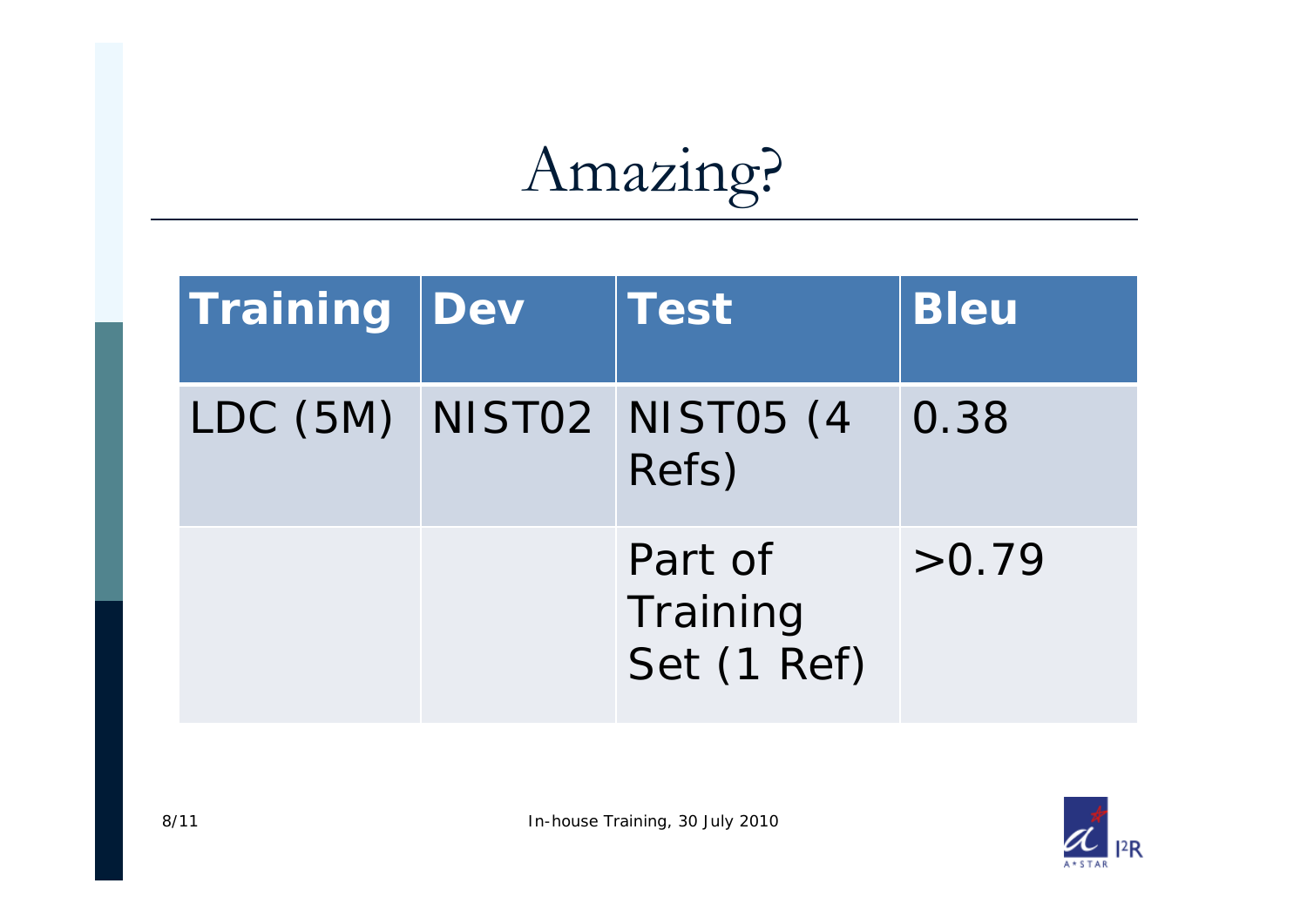# Amazing?

| Training | Dev | <b>Test</b>                        | <b>Bleu</b> |
|----------|-----|------------------------------------|-------------|
|          |     | LDC (5M) NISTO2 NISTO5 (4<br>Refs) | 0.38        |
|          |     | Part of<br>Training<br>Set (1 Ref) | >0.79       |

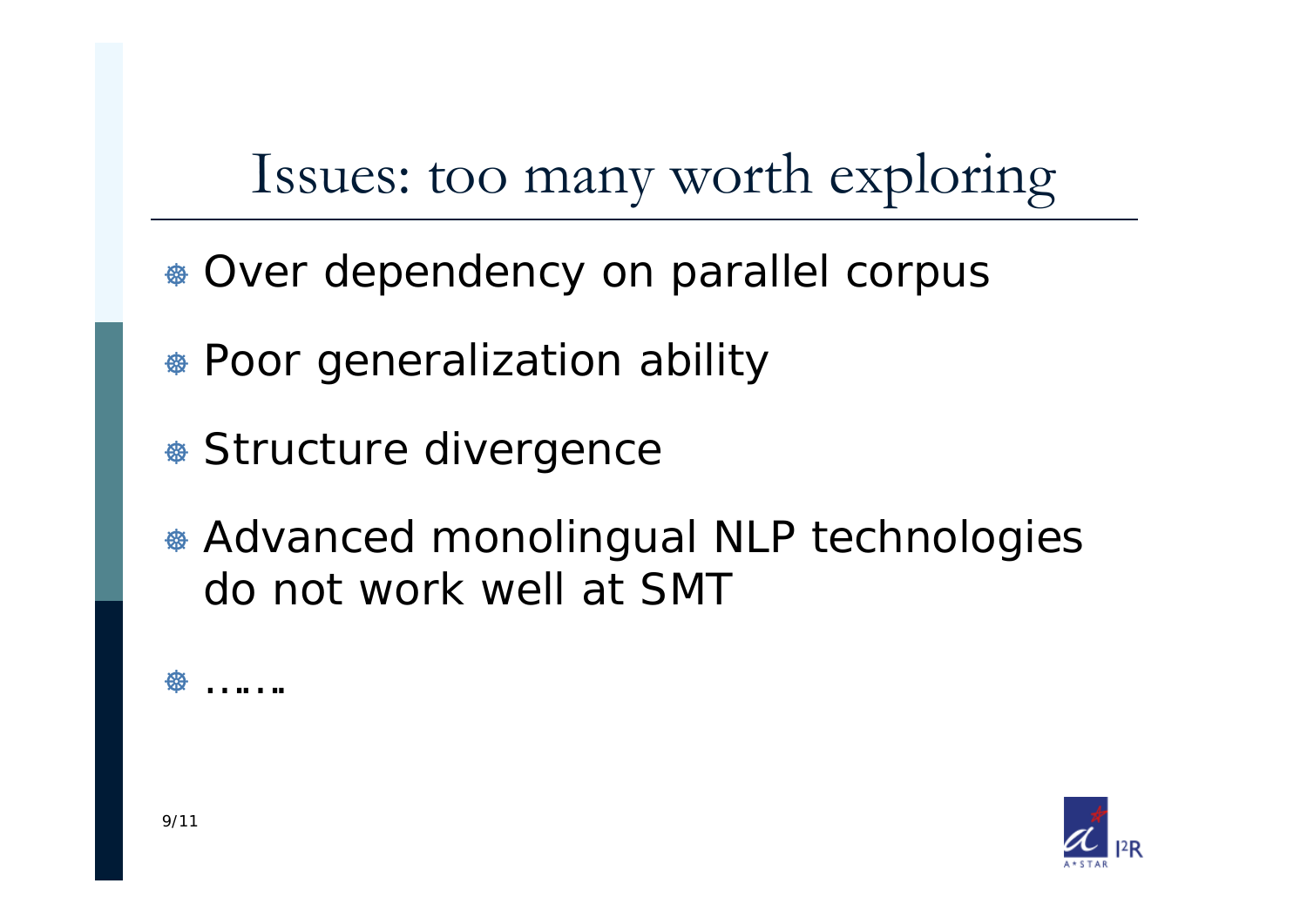Issues: too many worth exploring

- \* Over dependency on parallel corpus
- Poor generalization ability
- \* Structure divergence
- \* Advanced monolingual NLP technologies do not work well at SMT

**B** …….

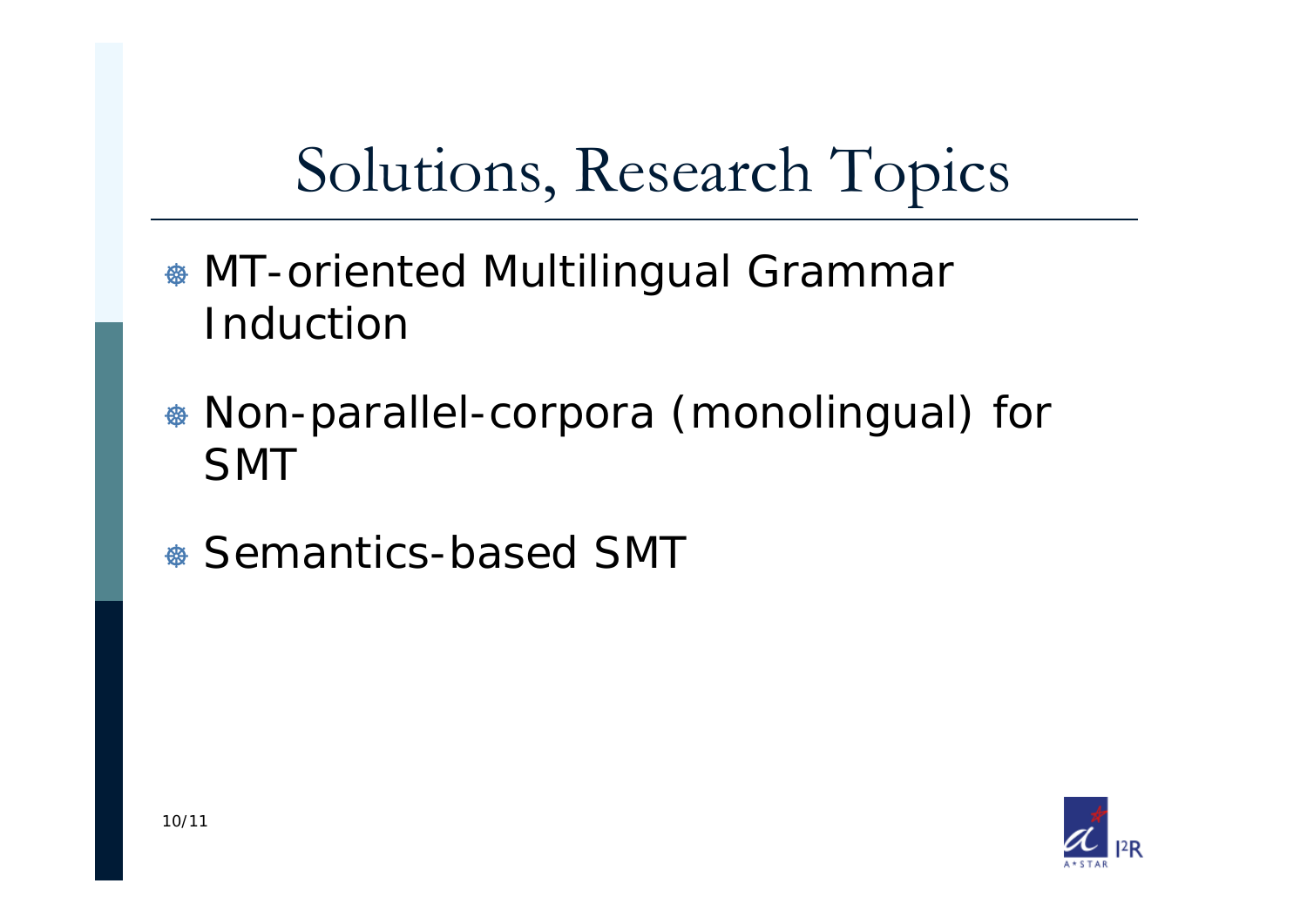# Solutions, Research Topics

- **\* MT-oriented Multilingual Grammar** Induction
- Non-parallel-corpora (monolingual) for SMT
- \* Semantics-based SMT